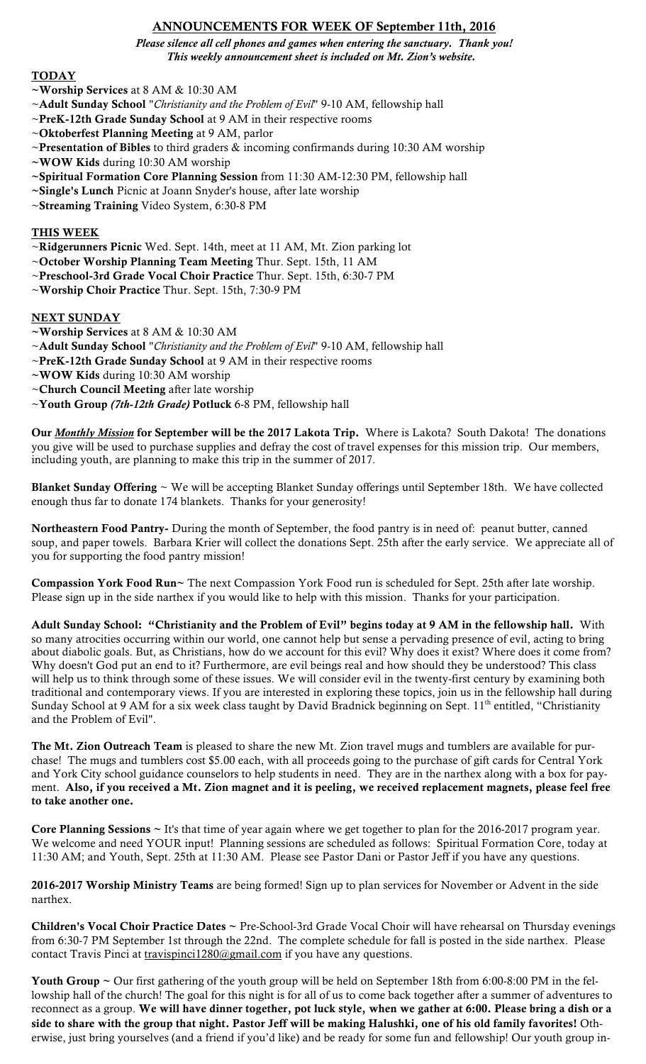# ANNOUNCEMENTS FOR WEEK OF September 11th, 2016

*Please silence all cell phones and games when entering the sanctuary. Thank you! This weekly announcement sheet is included on Mt. Zion's website.*

### **TODAY**

- ~Worship Services at 8 AM & 10:30 AM
- ~Adult Sunday School "*Christianity and the Problem of Evil*" 9-10 AM, fellowship hall
- ~PreK-12th Grade Sunday School at 9 AM in their respective rooms
- ~Oktoberfest Planning Meeting at 9 AM, parlor
- ~Presentation of Bibles to third graders  $\&$  incoming confirmands during 10:30 AM worship
- ~WOW Kids during 10:30 AM worship
- ~Spiritual Formation Core Planning Session from 11:30 AM-12:30 PM, fellowship hall
- ~Single's Lunch Picnic at Joann Snyder's house, after late worship
- ~Streaming Training Video System, 6:30-8 PM

## THIS WEEK

- ~Ridgerunners Picnic Wed. Sept. 14th, meet at 11 AM, Mt. Zion parking lot
- ~October Worship Planning Team Meeting Thur. Sept. 15th, 11 AM
- ~Preschool-3rd Grade Vocal Choir Practice Thur. Sept. 15th, 6:30-7 PM

~Worship Choir Practice Thur. Sept. 15th, 7:30-9 PM

## **NEXT SUNDAY**

- ~Worship Services at 8 AM & 10:30 AM
- ~Adult Sunday School "*Christianity and the Problem of Evil*" 9-10 AM, fellowship hall
- ~PreK-12th Grade Sunday School at 9 AM in their respective rooms
- ~WOW Kids during 10:30 AM worship
- ~Church Council Meeting after late worship
- ~Youth Group *(7th-12th Grade)* Potluck 6-8 PM, fellowship hall

Our *Monthly Mission* for September will be the 2017 Lakota Trip. Where is Lakota? South Dakota! The donations you give will be used to purchase supplies and defray the cost of travel expenses for this mission trip. Our members, including youth, are planning to make this trip in the summer of 2017.

Blanket Sunday Offering ~ We will be accepting Blanket Sunday offerings until September 18th. We have collected enough thus far to donate 174 blankets. Thanks for your generosity!

Northeastern Food Pantry- During the month of September, the food pantry is in need of: peanut butter, canned soup, and paper towels. Barbara Krier will collect the donations Sept. 25th after the early service. We appreciate all of you for supporting the food pantry mission!

Compassion York Food Run~ The next Compassion York Food run is scheduled for Sept. 25th after late worship. Please sign up in the side narthex if you would like to help with this mission. Thanks for your participation.

Adult Sunday School: "Christianity and the Problem of Evil" begins today at 9 AM in the fellowship hall. With so many atrocities occurring within our world, one cannot help but sense a pervading presence of evil, acting to bring about diabolic goals. But, as Christians, how do we account for this evil? Why does it exist? Where does it come from? Why doesn't God put an end to it? Furthermore, are evil beings real and how should they be understood? This class will help us to think through some of these issues. We will consider evil in the twenty-first century by examining both traditional and contemporary views. If you are interested in exploring these topics, join us in the fellowship hall during Sunday School at 9 AM for a six week class taught by David Bradnick beginning on Sept. 11<sup>th</sup> entitled, "Christianity and the Problem of Evil".

The Mt. Zion Outreach Team is pleased to share the new Mt. Zion travel mugs and tumblers are available for purchase! The mugs and tumblers cost \$5.00 each, with all proceeds going to the purchase of gift cards for Central York and York City school guidance counselors to help students in need. They are in the narthex along with a box for payment. Also, if you received a Mt. Zion magnet and it is peeling, we received replacement magnets, please feel free to take another one.

Core Planning Sessions ~ It's that time of year again where we get together to plan for the 2016-2017 program year. We welcome and need YOUR input! Planning sessions are scheduled as follows: Spiritual Formation Core, today at 11:30 AM; and Youth, Sept. 25th at 11:30 AM. Please see Pastor Dani or Pastor Jeff if you have any questions.

2016-2017 Worship Ministry Teams are being formed! Sign up to plan services for November or Advent in the side narthex.

Children's Vocal Choir Practice Dates ~ Pre-School-3rd Grade Vocal Choir will have rehearsal on Thursday evenings from 6:30-7 PM September 1st through the 22nd. The complete schedule for fall is posted in the side narthex. Please contact Travis Pinci at travispinci1280@gmail.com if you have any questions.

Youth Group ~ Our first gathering of the youth group will be held on September 18th from 6:00-8:00 PM in the fellowship hall of the church! The goal for this night is for all of us to come back together after a summer of adventures to reconnect as a group. We will have dinner together, pot luck style, when we gather at 6:00. Please bring a dish or a side to share with the group that night. Pastor Jeff will be making Halushki, one of his old family favorites! Otherwise, just bring yourselves (and a friend if you'd like) and be ready for some fun and fellowship! Our youth group in-